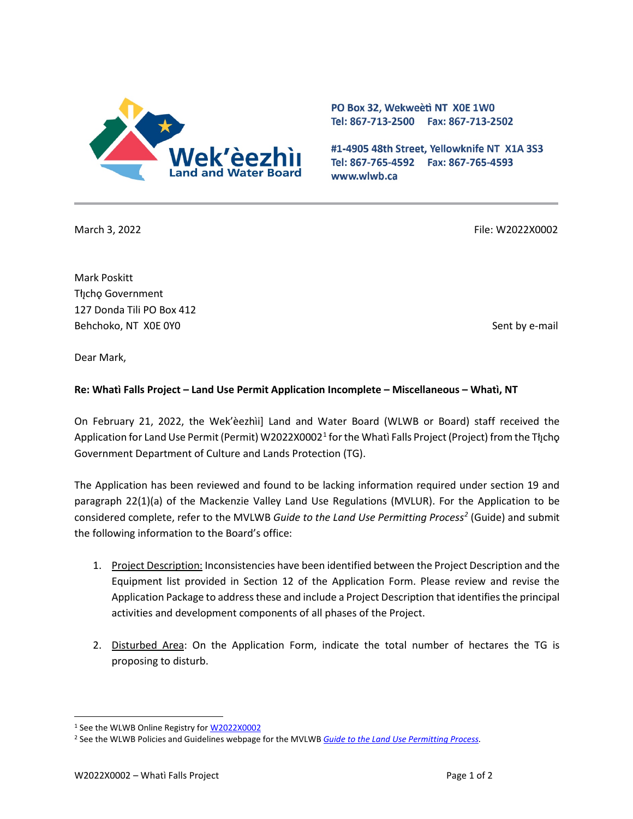

PO Box 32, Wekweeti NT X0E 1W0 Tel: 867-713-2500 Fax: 867-713-2502

#1-4905 48th Street, Yellowknife NT X1A 3S3 Tel: 867-765-4592 Fax: 867-765-4593 www.wlwb.ca

March 3, 2022 File: W2022X0002

Mark Poskitt Tłı̨chǫ Government 127 Donda Tili PO Box 412 Behchoko, NT X0E 0Y0 Sent by e-mail

Dear Mark,

## **Re: Whatì Falls Project – Land Use Permit Application Incomplete – Miscellaneous – Whatì, NT**

On February 21, 2022, the Wek'èezhìi] Land and Water Board (WLWB or Board) staff received the Application for Land Use Permit (Permit) W2022X0002<sup>[1](#page-0-0)</sup> for the Whatì Falls Project (Project) from the Tłįcho Government Department of Culture and Lands Protection (TG).

The Application has been reviewed and found to be lacking information required under section 19 and paragraph 22(1)(a) of the Mackenzie Valley Land Use Regulations (MVLUR). For the Application to be considered complete, refer to the MVLWB *Guide to the Land Use Permitting Proces[s2](#page-0-1)* (Guide) and submit the following information to the Board's office:

- 1. Project Description: Inconsistencies have been identified between the Project Description and the Equipment list provided in Section 12 of the Application Form. Please review and revise the Application Package to address these and include a Project Description that identifies the principal activities and development components of all phases of the Project.
- 2. Disturbed Area: On the Application Form, indicate the total number of hectares the TG is proposing to disturb.

<span id="page-0-0"></span><sup>&</sup>lt;sup>1</sup> See the WLWB Online Registry for **W2022X0002** 

<span id="page-0-1"></span><sup>2</sup> See the WLWB Policies and Guidelines webpage for the MVLWB *[Guide to the Land Use Permitting Process.](https://mvlwb.com/sites/default/files/2021-08/LWB%20Guide%20to%20the%20Land%20Use%20Permitting%20Process%20-%20FINAL%20-%20Aug%2030_21.pdf)*